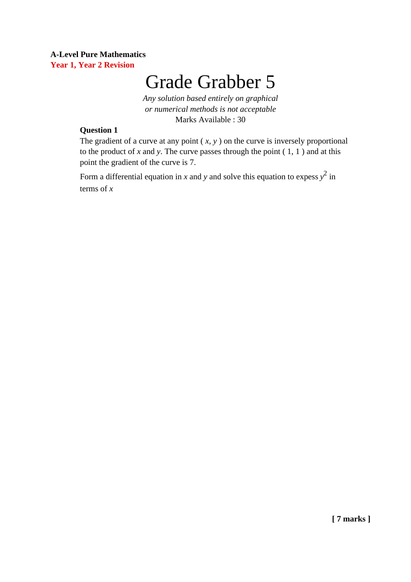## **A-Level Pure Mathematics Year 1, Year 2 Revision**

# Grade Grabber 5

*Any solution based entirely on graphical or numerical methods is not acceptable* Marks Available : 30

#### **Question 1**

The gradient of a curve at any point  $(x, y)$  on the curve is inversely proportional to the product of *x* and *y*. The curve passes through the point ( 1, 1 ) and at this point the gradient of the curve is 7.

Form a differential equation in *x* and *y* and solve this equation to expess  $y^2$  in terms of *x*

**[ 7 marks ]**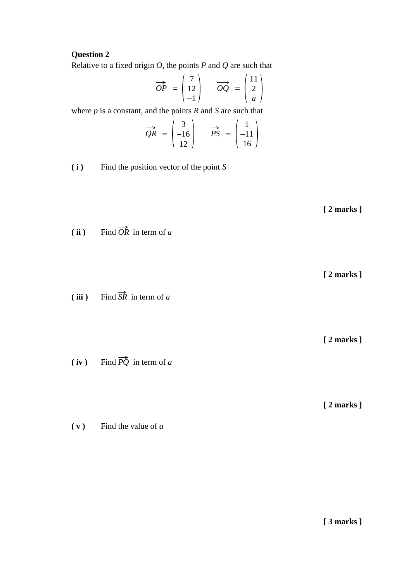#### **Question 2**

Relative to a fixed origin *O*, the points *P* and *Q* are such that

$$
\overrightarrow{OP} = \begin{pmatrix} 7 \\ 12 \\ -1 \end{pmatrix} \qquad \overrightarrow{OQ} = \begin{pmatrix} 11 \\ 2 \\ a \end{pmatrix}
$$

where *p* is a constant, and the points *R* and *S* are such that

$$
\overrightarrow{QR} = \begin{pmatrix} 3 \\ -16 \\ 12 \end{pmatrix} \qquad \overrightarrow{PS} = \begin{pmatrix} 1 \\ -11 \\ 16 \end{pmatrix}
$$

**( i )** Find the position vector of the point *S*

**[ 2 marks ]**

**(ii)** Find  $\overrightarrow{OR}$  in term of *a* 

**[ 2 marks ]**

**( iii )** Find *SR* in term of *a*  $\Rightarrow$ 

**(iv)** Find  $\overrightarrow{PQ}$  in term of *a* 

**[ 2 marks ]**

**[ 2 marks ]**

**( v )** Find the value of *a*

**[ 3 marks ]**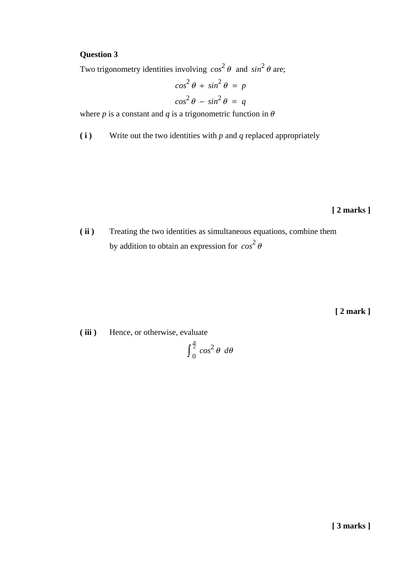# **Question 3**

Two trigonometry identities involving  $cos^2 \theta$  and  $sin^2 \theta$  are;

$$
\cos^2 \theta + \sin^2 \theta = p
$$

$$
\cos^2 \theta - \sin^2 \theta = q
$$

where *p* is a constant and *q* is a trigonometric function in  $\theta$ 

**( i )** Write out the two identities with *p* and *q* replaced appropriately

**[ 2 marks ]**

**( ii )** Treating the two identities as simultaneous equations, combine them by addition to obtain an expression for  $cos^2 \theta$ 

**[ 2 mark ]**

**( iii )** Hence, or otherwise, evaluate ∫  $\frac{\pi}{2}$  $\int_{0}^{\overline{2}} \cos^2 \theta \ d\theta$